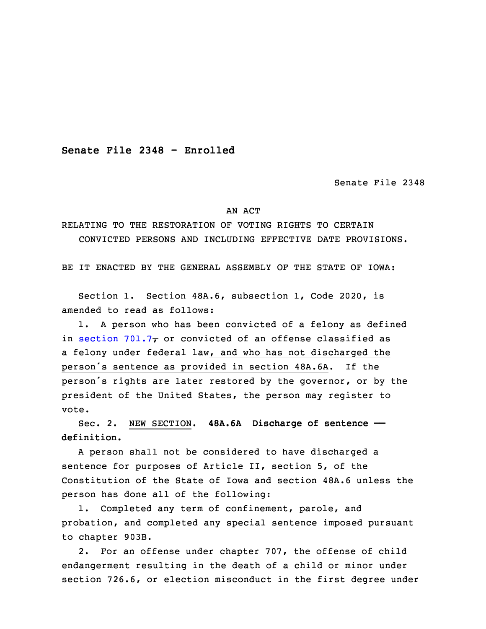**Senate File 2348 - Enrolled**

Senate File 2348

## AN ACT

RELATING TO THE RESTORATION OF VOTING RIGHTS TO CERTAIN CONVICTED PERSONS AND INCLUDING EFFECTIVE DATE PROVISIONS.

BE IT ENACTED BY THE GENERAL ASSEMBLY OF THE STATE OF IOWA:

 Section 1. Section 48A.6, subsection 1, Code 2020, is amended to read as follows:

1. A person who has been convicted of a felony as defined in [section](https://www.legis.iowa.gov/docs/code/2020/701.7.pdf) 701.7 $\tau$  or convicted of an offense classified as a felony under federal law, and who has not discharged the person's sentence as provided in section 48A.6A. If the person's rights are later restored by the governor, or by the president of the United States, the person may register to vote.

10 Sec. 2. NEW SECTION. **48A.6A Discharge of sentence — definition.**

 <sup>A</sup> person shall not be considered to have discharged <sup>a</sup> sentence for purposes of Article II, section 5, of the Constitution of the State of Iowa and section 48A.6 unless the person has done all of the following:

1. Completed any term of confinement, parole, and probation, and completed any special sentence imposed pursuant to chapter 903B.

2. For an offense under chapter 707, the offense of child endangerment resulting in the death of a child or minor under section 726.6, or election misconduct in the first degree under